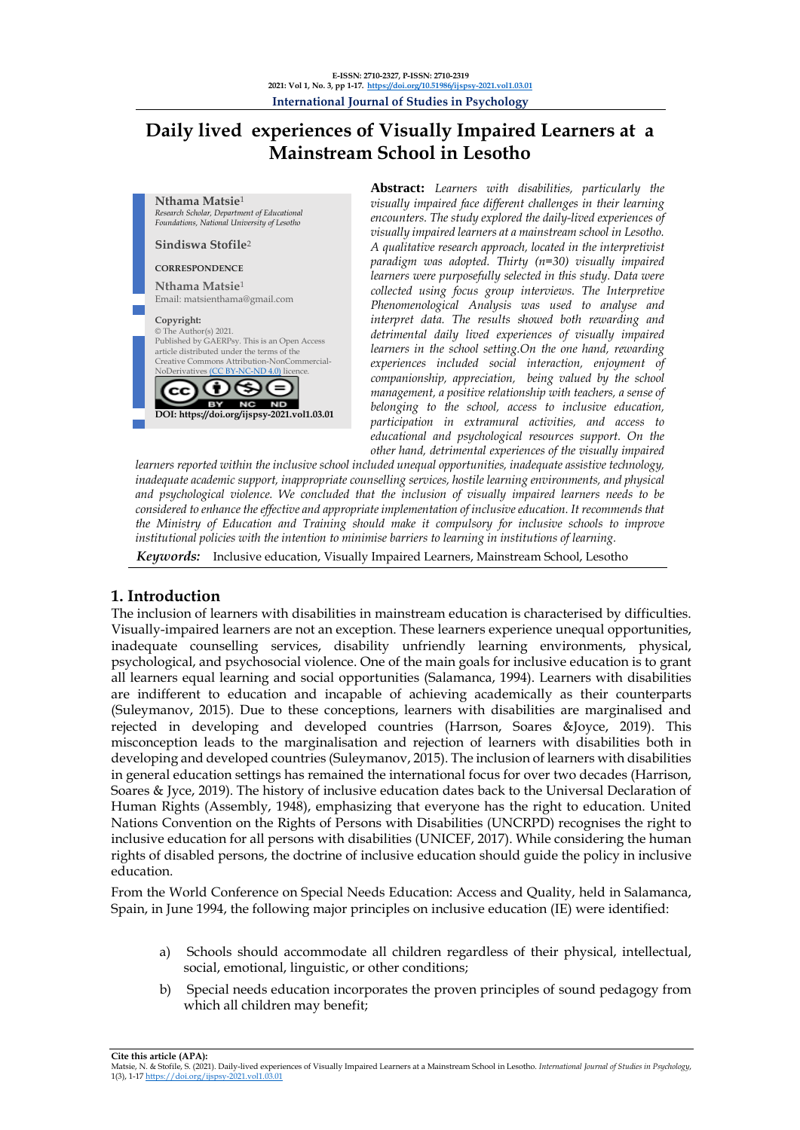# **Daily lived experiences of Visually Impaired Learners at a Mainstream School in Lesotho**



**Abstract:** *Learners with disabilities, particularly the visually impaired face different challenges in their learning encounters. The study explored the daily-lived experiences of visually impaired learners at a mainstream school in Lesotho. A qualitative research approach, located in the interpretivist paradigm was adopted. Thirty (n=30) visually impaired learners were purposefully selected in this study. Data were collected using focus group interviews. The Interpretive Phenomenological Analysis was used to analyse and interpret data. The results showed both rewarding and detrimental daily lived experiences of visually impaired learners in the school setting.On the one hand, rewarding experiences included social interaction, enjoyment of companionship, appreciation, being valued by the school management, a positive relationship with teachers, a sense of belonging to the school, access to inclusive education, participation in extramural activities, and access to educational and psychological resources support. On the other hand, detrimental experiences of the visually impaired* 

*learners reported within the inclusive school included unequal opportunities, inadequate assistive technology, inadequate academic support, inappropriate counselling services, hostile learning environments, and physical and psychological violence. We concluded that the inclusion of visually impaired learners needs to be considered to enhance the effective and appropriate implementation of inclusive education. It recommends that the Ministry of Education and Training should make it compulsory for inclusive schools to improve institutional policies with the intention to minimise barriers to learning in institutions of learning.*

*Keywords:* Inclusive education, Visually Impaired Learners, Mainstream School, Lesotho

## **1. Introduction**

The inclusion of learners with disabilities in mainstream education is characterised by difficulties. Visually-impaired learners are not an exception. These learners experience unequal opportunities, inadequate counselling services, disability unfriendly learning environments, physical, psychological, and psychosocial violence. One of the main goals for inclusive education is to grant all learners equal learning and social opportunities (Salamanca, 1994). Learners with disabilities are indifferent to education and incapable of achieving academically as their counterparts (Suleymanov, 2015). Due to these conceptions, learners with disabilities are marginalised and rejected in developing and developed countries (Harrson, Soares &Joyce, 2019). This misconception leads to the marginalisation and rejection of learners with disabilities both in developing and developed countries (Suleymanov, 2015). The inclusion of learners with disabilities in general education settings has remained the international focus for over two decades (Harrison, Soares & Jyce, 2019). The history of inclusive education dates back to the Universal Declaration of Human Rights (Assembly, 1948), emphasizing that everyone has the right to education. United Nations Convention on the Rights of Persons with Disabilities (UNCRPD) recognises the right to inclusive education for all persons with disabilities (UNICEF, 2017). While considering the human rights of disabled persons, the doctrine of inclusive education should guide the policy in inclusive education.

From the World Conference on Special Needs Education: Access and Quality, held in Salamanca, Spain, in June 1994, the following major principles on inclusive education (IE) were identified:

- a) Schools should accommodate all children regardless of their physical, intellectual, social, emotional, linguistic, or other conditions;
- b) Special needs education incorporates the proven principles of sound pedagogy from which all children may benefit;

**Cite this article (APA):**

Matsie, N. & Stofile, S. (2021). Daily-lived experiences of Visually Impaired Learners at a Mainstream School in Lesotho. *International Journal of Studies in Psychology*, 1(3), 1-17 <https://doi.org/ijspsy-2021.vol1.03.01>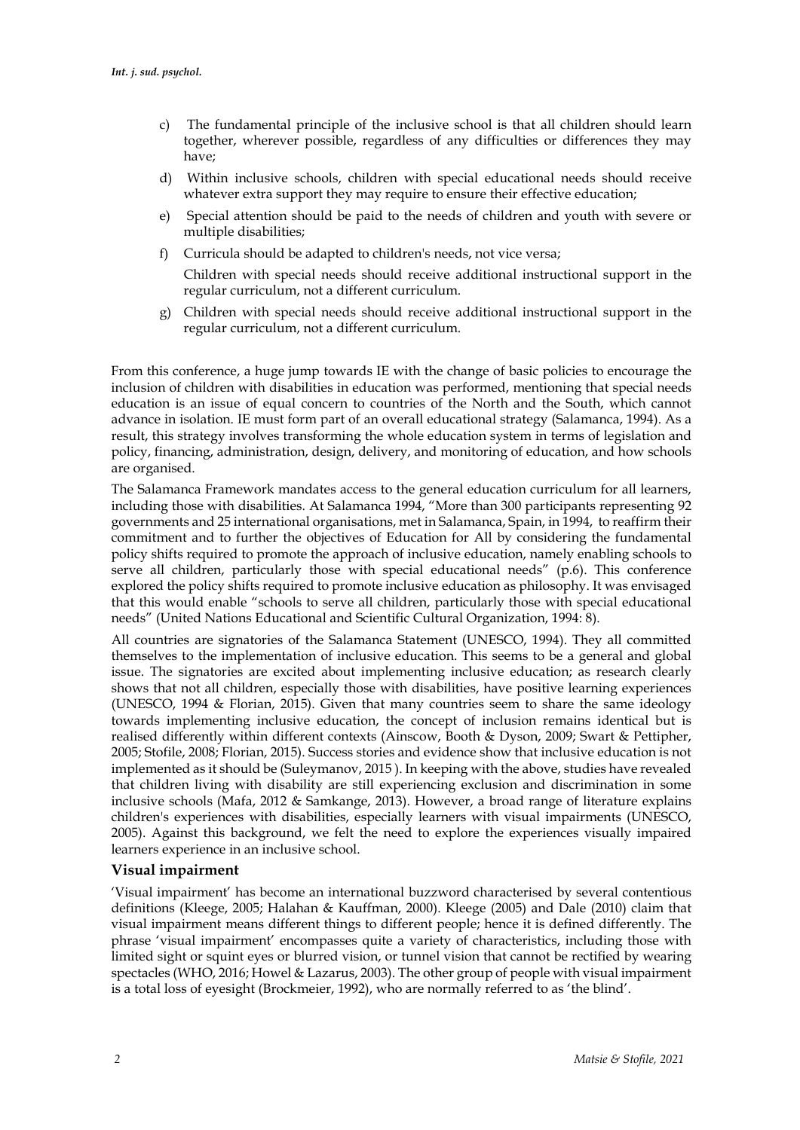- c) The fundamental principle of the inclusive school is that all children should learn together, wherever possible, regardless of any difficulties or differences they may have;
- d) Within inclusive schools, children with special educational needs should receive whatever extra support they may require to ensure their effective education;
- e) Special attention should be paid to the needs of children and youth with severe or multiple disabilities;
- f) Curricula should be adapted to children's needs, not vice versa; Children with special needs should receive additional instructional support in the regular curriculum, not a different curriculum.
- g) Children with special needs should receive additional instructional support in the regular curriculum, not a different curriculum.

From this conference, a huge jump towards IE with the change of basic policies to encourage the inclusion of children with disabilities in education was performed, mentioning that special needs education is an issue of equal concern to countries of the North and the South, which cannot advance in isolation. IE must form part of an overall educational strategy (Salamanca, 1994). As a result, this strategy involves transforming the whole education system in terms of legislation and policy, financing, administration, design, delivery, and monitoring of education, and how schools are organised.

The Salamanca Framework mandates access to the general education curriculum for all learners, including those with disabilities. At Salamanca 1994, "More than 300 participants representing 92 governments and 25 international organisations, met in Salamanca, Spain, in 1994, to reaffirm their commitment and to further the objectives of Education for All by considering the fundamental policy shifts required to promote the approach of inclusive education, namely enabling schools to serve all children, particularly those with special educational needs" (p.6). This conference explored the policy shifts required to promote inclusive education as philosophy. It was envisaged that this would enable "schools to serve all children, particularly those with special educational needs" (United Nations Educational and Scientific Cultural Organization, 1994: 8).

All countries are signatories of the Salamanca Statement (UNESCO, 1994). They all committed themselves to the implementation of inclusive education. This seems to be a general and global issue. The signatories are excited about implementing inclusive education; as research clearly shows that not all children, especially those with disabilities, have positive learning experiences (UNESCO, 1994 & Florian, 2015). Given that many countries seem to share the same ideology towards implementing inclusive education, the concept of inclusion remains identical but is realised differently within different contexts (Ainscow, Booth & Dyson, 2009; Swart & Pettipher, 2005; Stofile, 2008; Florian, 2015). Success stories and evidence show that inclusive education is not implemented as it should be (Suleymanov, 2015 ). In keeping with the above, studies have revealed that children living with disability are still experiencing exclusion and discrimination in some inclusive schools (Mafa, 2012 & Samkange, 2013). However, a broad range of literature explains children's experiences with disabilities, especially learners with visual impairments (UNESCO, 2005). Against this background, we felt the need to explore the experiences visually impaired learners experience in an inclusive school.

## **Visual impairment**

'Visual impairment' has become an international buzzword characterised by several contentious definitions (Kleege, 2005; Halahan & Kauffman, 2000). Kleege (2005) and Dale (2010) claim that visual impairment means different things to different people; hence it is defined differently. The phrase 'visual impairment' encompasses quite a variety of characteristics, including those with limited sight or squint eyes or blurred vision, or tunnel vision that cannot be rectified by wearing spectacles (WHO, 2016; Howel & Lazarus, 2003). The other group of people with visual impairment is a total loss of eyesight (Brockmeier, 1992), who are normally referred to as 'the blind'.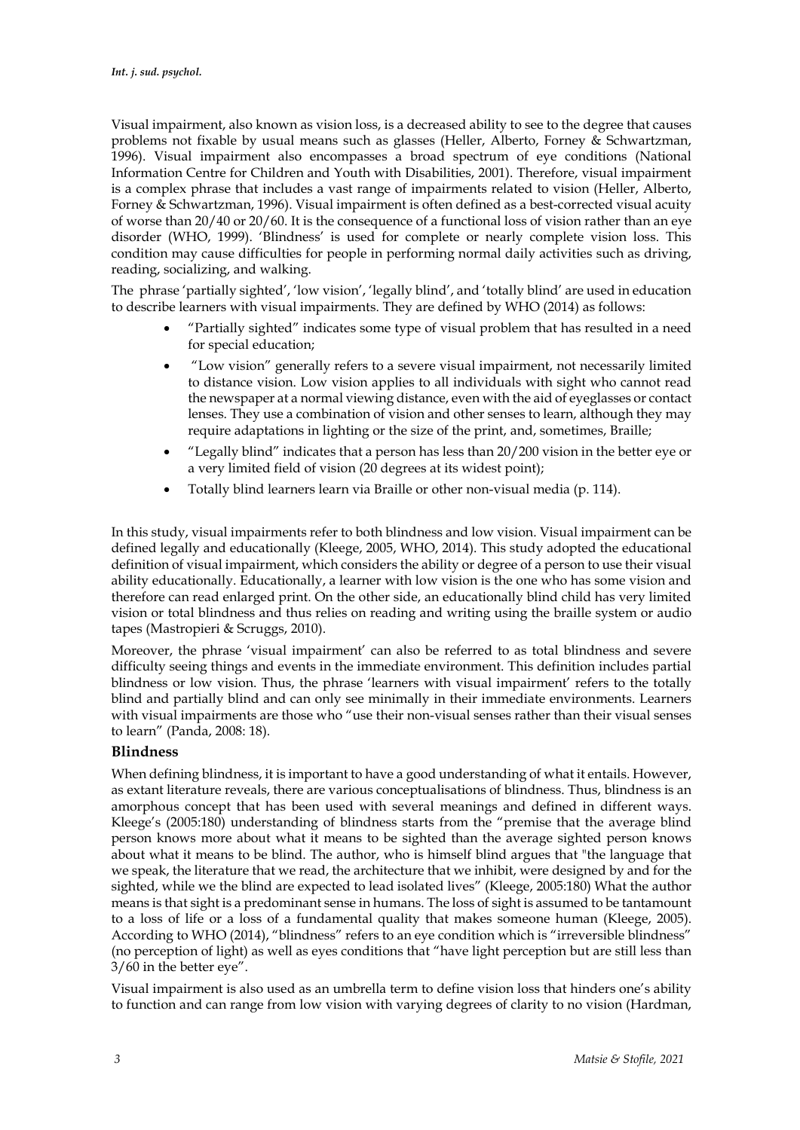Visual impairment, also known as vision loss, is a decreased ability to see to the degree that causes problems not fixable by usual means such as glasses (Heller, Alberto, Forney & Schwartzman, 1996). Visual impairment also encompasses a broad spectrum of eye conditions (National Information Centre for Children and Youth with Disabilities, 2001). Therefore, visual impairment is a complex phrase that includes a vast range of impairments related to vision (Heller, Alberto, Forney & Schwartzman, 1996). Visual impairment is often defined as a best-corrected visual acuity of worse than 20/40 or 20/60. It is the consequence of a functional loss of vision rather than an eye disorder (WHO, 1999). 'Blindness' is used for complete or nearly complete vision loss. This condition may cause difficulties for people in performing normal daily activities such as driving, reading, socializing, and walking.

The phrase 'partially sighted', 'low vision', 'legally blind', and 'totally blind' are used in education to describe learners with visual impairments. They are defined by WHO (2014) as follows:

- "Partially sighted" indicates some type of visual problem that has resulted in a need for special education;
- "Low vision" generally refers to a severe visual impairment, not necessarily limited to distance vision. Low vision applies to all individuals with sight who cannot read the newspaper at a normal viewing distance, even with the aid of eyeglasses or contact lenses. They use a combination of vision and other senses to learn, although they may require adaptations in lighting or the size of the print, and, sometimes, Braille;
- "Legally blind" indicates that a person has less than 20/200 vision in the better eye or a very limited field of vision (20 degrees at its widest point);
- Totally blind learners learn via Braille or other non-visual media (p. 114).

In this study, visual impairments refer to both blindness and low vision. Visual impairment can be defined legally and educationally (Kleege, 2005, WHO, 2014). This study adopted the educational definition of visual impairment, which considers the ability or degree of a person to use their visual ability educationally. Educationally, a learner with low vision is the one who has some vision and therefore can read enlarged print. On the other side, an educationally blind child has very limited vision or total blindness and thus relies on reading and writing using the braille system or audio tapes (Mastropieri & Scruggs, 2010).

Moreover, the phrase 'visual impairment' can also be referred to as total blindness and severe difficulty seeing things and events in the immediate environment. This definition includes partial blindness or low vision. Thus, the phrase 'learners with visual impairment' refers to the totally blind and partially blind and can only see minimally in their immediate environments. Learners with visual impairments are those who "use their non-visual senses rather than their visual senses to learn" (Panda, 2008: 18).

### **Blindness**

When defining blindness, it is important to have a good understanding of what it entails. However, as extant literature reveals, there are various conceptualisations of blindness. Thus, blindness is an amorphous concept that has been used with several meanings and defined in different ways. Kleege's (2005:180) understanding of blindness starts from the "premise that the average blind person knows more about what it means to be sighted than the average sighted person knows about what it means to be blind. The author, who is himself blind argues that "the language that we speak, the literature that we read, the architecture that we inhibit, were designed by and for the sighted, while we the blind are expected to lead isolated lives" (Kleege, 2005:180) What the author means is that sight is a predominant sense in humans. The loss of sight is assumed to be tantamount to a loss of life or a loss of a fundamental quality that makes someone human (Kleege, 2005). According to WHO (2014), "blindness" refers to an eye condition which is "irreversible blindness" (no perception of light) as well as eyes conditions that "have light perception but are still less than 3/60 in the better eye".

Visual impairment is also used as an umbrella term to define vision loss that hinders one's ability to function and can range from low vision with varying degrees of clarity to no vision (Hardman,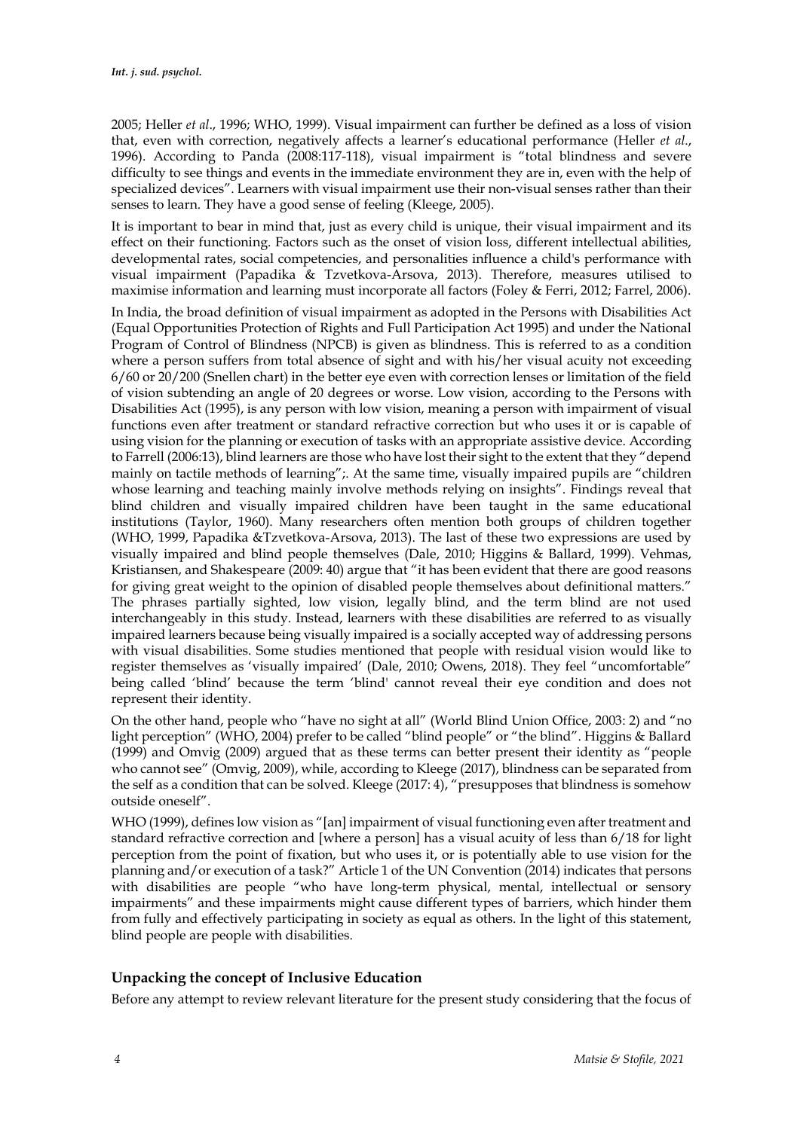2005; Heller *et al*., 1996; WHO, 1999). Visual impairment can further be defined as a loss of vision that, even with correction, negatively affects a learner's educational performance (Heller *et al*., 1996). According to Panda (2008:117-118), visual impairment is "total blindness and severe difficulty to see things and events in the immediate environment they are in, even with the help of specialized devices". Learners with visual impairment use their non-visual senses rather than their senses to learn. They have a good sense of feeling (Kleege, 2005).

It is important to bear in mind that, just as every child is unique, their visual impairment and its effect on their functioning. Factors such as the onset of vision loss, different intellectual abilities, developmental rates, social competencies, and personalities influence a child's performance with visual impairment (Papadika & Tzvetkova-Arsova, 2013). Therefore, measures utilised to maximise information and learning must incorporate all factors (Foley & Ferri, 2012; Farrel, 2006).

In India, the broad definition of visual impairment as adopted in the Persons with Disabilities Act (Equal Opportunities Protection of Rights and Full Participation Act 1995) and under the National Program of Control of Blindness (NPCB) is given as blindness. This is referred to as a condition where a person suffers from total absence of sight and with his/her visual acuity not exceeding 6/60 or 20/200 (Snellen chart) in the better eye even with correction lenses or limitation of the field of vision subtending an angle of 20 degrees or worse. Low vision, according to the Persons with Disabilities Act (1995), is any person with low vision, meaning a person with impairment of visual functions even after treatment or standard refractive correction but who uses it or is capable of using vision for the planning or execution of tasks with an appropriate assistive device. According to Farrell (2006:13), blind learners are those who have lost their sight to the extent that they "depend mainly on tactile methods of learning";. At the same time, visually impaired pupils are "children whose learning and teaching mainly involve methods relying on insights". Findings reveal that blind children and visually impaired children have been taught in the same educational institutions (Taylor, 1960). Many researchers often mention both groups of children together (WHO, 1999, Papadika &Tzvetkova-Arsova, 2013). The last of these two expressions are used by visually impaired and blind people themselves (Dale, 2010; Higgins & Ballard, 1999). Vehmas, Kristiansen, and Shakespeare (2009: 40) argue that "it has been evident that there are good reasons for giving great weight to the opinion of disabled people themselves about definitional matters." The phrases partially sighted, low vision, legally blind, and the term blind are not used interchangeably in this study. Instead, learners with these disabilities are referred to as visually impaired learners because being visually impaired is a socially accepted way of addressing persons with visual disabilities. Some studies mentioned that people with residual vision would like to register themselves as 'visually impaired' (Dale, 2010; Owens, 2018). They feel "uncomfortable" being called 'blind' because the term 'blind' cannot reveal their eye condition and does not represent their identity.

On the other hand, people who "have no sight at all" (World Blind Union Office, 2003: 2) and "no light perception" (WHO, 2004) prefer to be called "blind people" or "the blind". Higgins & Ballard (1999) and Omvig (2009) argued that as these terms can better present their identity as "people who cannot see" (Omvig, 2009), while, according to Kleege (2017), blindness can be separated from the self as a condition that can be solved. Kleege (2017: 4), "presupposes that blindness is somehow outside oneself".

WHO (1999), defines low vision as "[an] impairment of visual functioning even after treatment and standard refractive correction and [where a person] has a visual acuity of less than 6/18 for light perception from the point of fixation, but who uses it, or is potentially able to use vision for the planning and/or execution of a task?" Article 1 of the UN Convention (2014) indicates that persons with disabilities are people "who have long-term physical, mental, intellectual or sensory impairments" and these impairments might cause different types of barriers, which hinder them from fully and effectively participating in society as equal as others. In the light of this statement, blind people are people with disabilities.

## **Unpacking the concept of Inclusive Education**

Before any attempt to review relevant literature for the present study considering that the focus of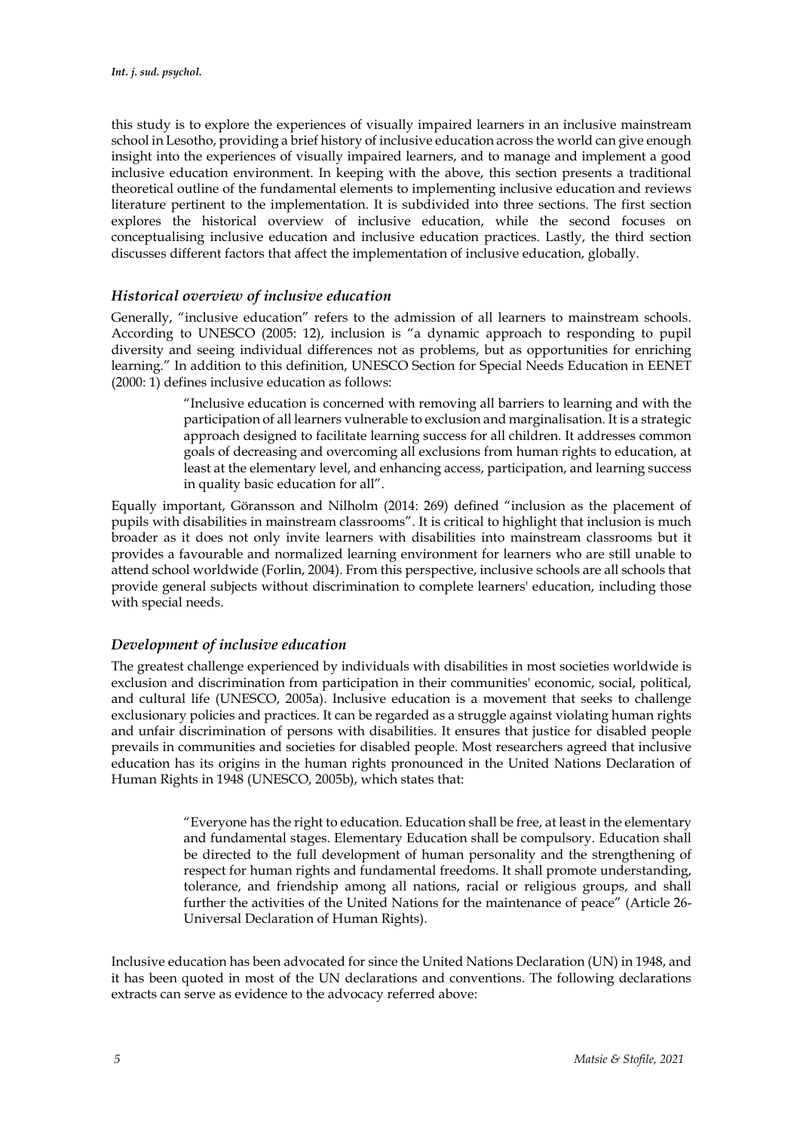this study is to explore the experiences of visually impaired learners in an inclusive mainstream school in Lesotho, providing a brief history of inclusive education across the world can give enough insight into the experiences of visually impaired learners, and to manage and implement a good inclusive education environment. In keeping with the above, this section presents a traditional theoretical outline of the fundamental elements to implementing inclusive education and reviews literature pertinent to the implementation. It is subdivided into three sections. The first section explores the historical overview of inclusive education, while the second focuses on conceptualising inclusive education and inclusive education practices. Lastly, the third section discusses different factors that affect the implementation of inclusive education, globally.

## *Historical overview of inclusive education*

Generally, "inclusive education" refers to the admission of all learners to mainstream schools. According to UNESCO (2005: 12), inclusion is "a dynamic approach to responding to pupil diversity and seeing individual differences not as problems, but as opportunities for enriching learning." In addition to this definition, UNESCO Section for Special Needs Education in EENET (2000: 1) defines inclusive education as follows:

> "Inclusive education is concerned with removing all barriers to learning and with the participation of all learners vulnerable to exclusion and marginalisation. It is a strategic approach designed to facilitate learning success for all children. It addresses common goals of decreasing and overcoming all exclusions from human rights to education, at least at the elementary level, and enhancing access, participation, and learning success in quality basic education for all".

Equally important, Göransson and Nilholm (2014: 269) defined "inclusion as the placement of pupils with disabilities in mainstream classrooms". It is critical to highlight that inclusion is much broader as it does not only invite learners with disabilities into mainstream classrooms but it provides a favourable and normalized learning environment for learners who are still unable to attend school worldwide (Forlin, 2004). From this perspective, inclusive schools are all schools that provide general subjects without discrimination to complete learners' education, including those with special needs.

## *Development of inclusive education*

The greatest challenge experienced by individuals with disabilities in most societies worldwide is exclusion and discrimination from participation in their communities' economic, social, political, and cultural life (UNESCO, 2005a). Inclusive education is a movement that seeks to challenge exclusionary policies and practices. It can be regarded as a struggle against violating human rights and unfair discrimination of persons with disabilities. It ensures that justice for disabled people prevails in communities and societies for disabled people. Most researchers agreed that inclusive education has its origins in the human rights pronounced in the United Nations Declaration of Human Rights in 1948 (UNESCO, 2005b), which states that:

> "Everyone has the right to education. Education shall be free, at least in the elementary and fundamental stages. Elementary Education shall be compulsory. Education shall be directed to the full development of human personality and the strengthening of respect for human rights and fundamental freedoms. It shall promote understanding, tolerance, and friendship among all nations, racial or religious groups, and shall further the activities of the United Nations for the maintenance of peace" (Article 26- Universal Declaration of Human Rights).

Inclusive education has been advocated for since the United Nations Declaration (UN) in 1948, and it has been quoted in most of the UN declarations and conventions. The following declarations extracts can serve as evidence to the advocacy referred above: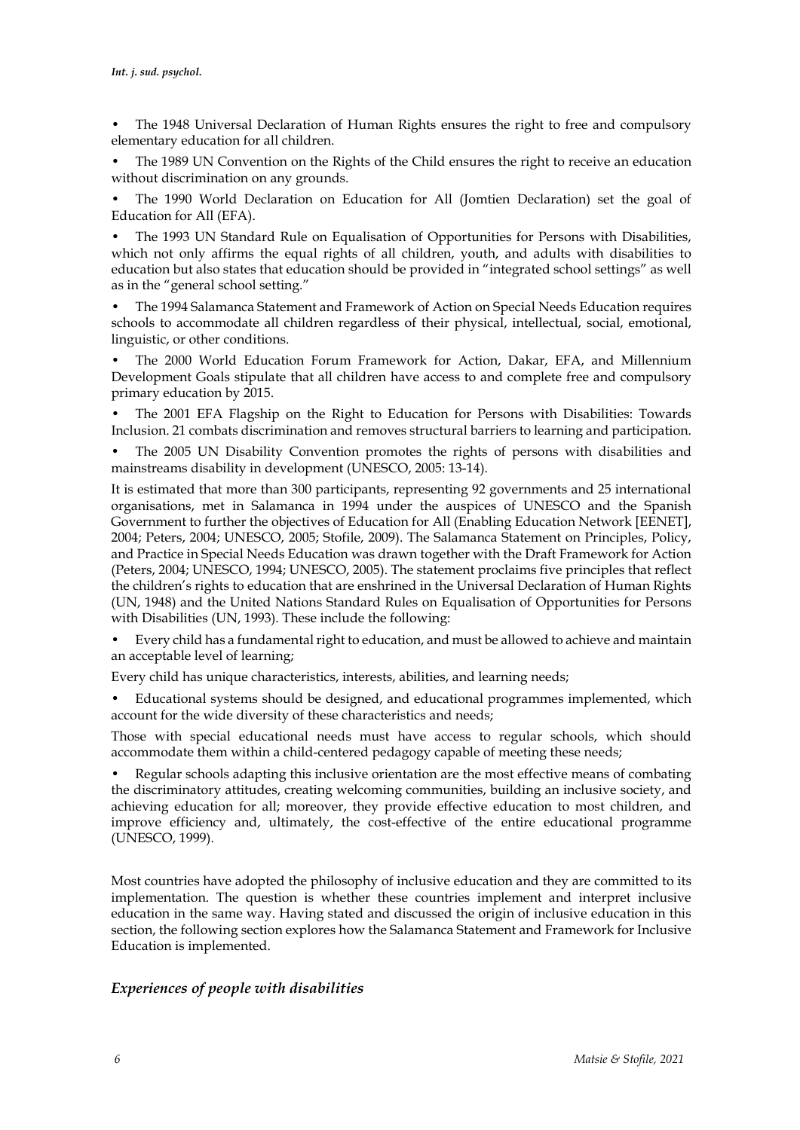The 1948 Universal Declaration of Human Rights ensures the right to free and compulsory elementary education for all children.

• The 1989 UN Convention on the Rights of the Child ensures the right to receive an education without discrimination on any grounds.

• The 1990 World Declaration on Education for All (Jomtien Declaration) set the goal of Education for All (EFA).

• The 1993 UN Standard Rule on Equalisation of Opportunities for Persons with Disabilities, which not only affirms the equal rights of all children, youth, and adults with disabilities to education but also states that education should be provided in "integrated school settings" as well as in the "general school setting."

• The 1994 Salamanca Statement and Framework of Action on Special Needs Education requires schools to accommodate all children regardless of their physical, intellectual, social, emotional, linguistic, or other conditions.

• The 2000 World Education Forum Framework for Action, Dakar, EFA, and Millennium Development Goals stipulate that all children have access to and complete free and compulsory primary education by 2015.

• The 2001 EFA Flagship on the Right to Education for Persons with Disabilities: Towards Inclusion. 21 combats discrimination and removes structural barriers to learning and participation.

• The 2005 UN Disability Convention promotes the rights of persons with disabilities and mainstreams disability in development (UNESCO, 2005: 13-14).

It is estimated that more than 300 participants, representing 92 governments and 25 international organisations, met in Salamanca in 1994 under the auspices of UNESCO and the Spanish Government to further the objectives of Education for All (Enabling Education Network [EENET], 2004; Peters, 2004; UNESCO, 2005; Stofile, 2009). The Salamanca Statement on Principles, Policy, and Practice in Special Needs Education was drawn together with the Draft Framework for Action (Peters, 2004; UNESCO, 1994; UNESCO, 2005). The statement proclaims five principles that reflect the children's rights to education that are enshrined in the Universal Declaration of Human Rights (UN, 1948) and the United Nations Standard Rules on Equalisation of Opportunities for Persons with Disabilities (UN, 1993). These include the following:

• Every child has a fundamental right to education, and must be allowed to achieve and maintain an acceptable level of learning;

Every child has unique characteristics, interests, abilities, and learning needs;

• Educational systems should be designed, and educational programmes implemented, which account for the wide diversity of these characteristics and needs;

Those with special educational needs must have access to regular schools, which should accommodate them within a child-centered pedagogy capable of meeting these needs;

• Regular schools adapting this inclusive orientation are the most effective means of combating the discriminatory attitudes, creating welcoming communities, building an inclusive society, and achieving education for all; moreover, they provide effective education to most children, and improve efficiency and, ultimately, the cost-effective of the entire educational programme (UNESCO, 1999).

Most countries have adopted the philosophy of inclusive education and they are committed to its implementation. The question is whether these countries implement and interpret inclusive education in the same way. Having stated and discussed the origin of inclusive education in this section, the following section explores how the Salamanca Statement and Framework for Inclusive Education is implemented.

## *Experiences of people with disabilities*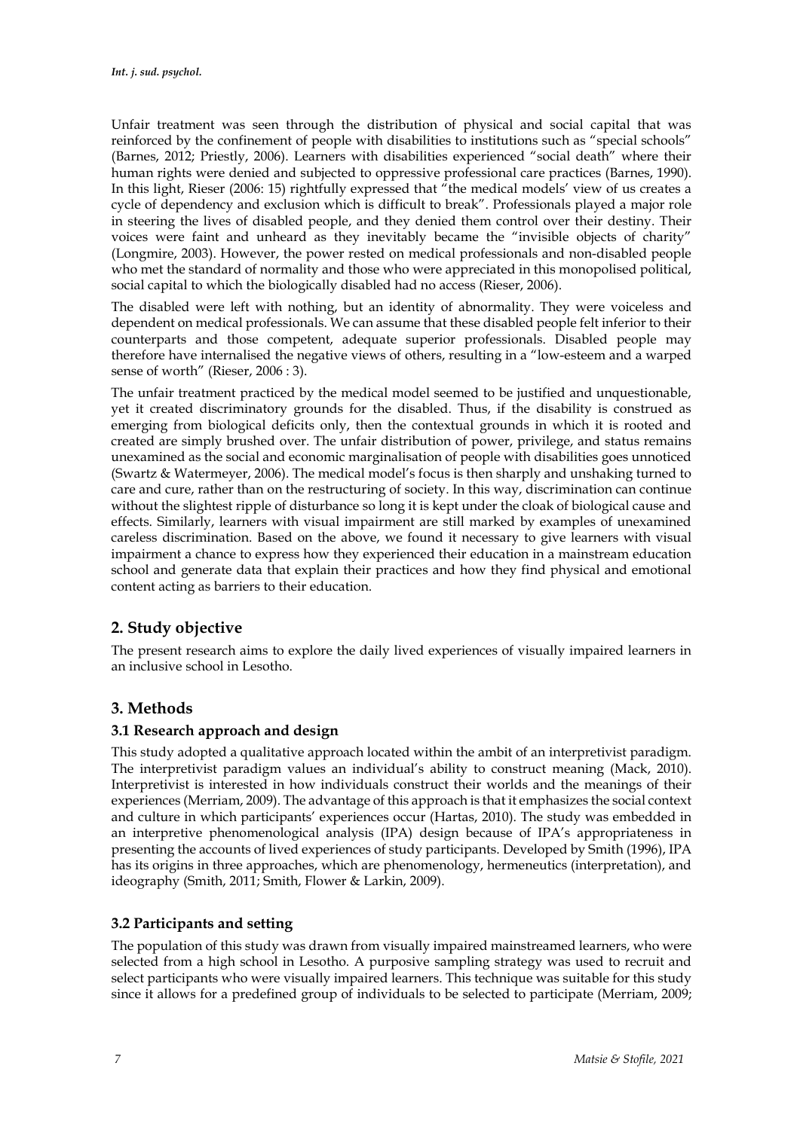Unfair treatment was seen through the distribution of physical and social capital that was reinforced by the confinement of people with disabilities to institutions such as "special schools" (Barnes, 2012; Priestly, 2006). Learners with disabilities experienced "social death" where their human rights were denied and subjected to oppressive professional care practices (Barnes, 1990). In this light, Rieser (2006: 15) rightfully expressed that "the medical models' view of us creates a cycle of dependency and exclusion which is difficult to break". Professionals played a major role in steering the lives of disabled people, and they denied them control over their destiny. Their voices were faint and unheard as they inevitably became the "invisible objects of charity" (Longmire, 2003). However, the power rested on medical professionals and non-disabled people who met the standard of normality and those who were appreciated in this monopolised political, social capital to which the biologically disabled had no access (Rieser, 2006).

The disabled were left with nothing, but an identity of abnormality. They were voiceless and dependent on medical professionals. We can assume that these disabled people felt inferior to their counterparts and those competent, adequate superior professionals. Disabled people may therefore have internalised the negative views of others, resulting in a "low-esteem and a warped sense of worth" (Rieser, 2006 : 3).

The unfair treatment practiced by the medical model seemed to be justified and unquestionable, yet it created discriminatory grounds for the disabled. Thus, if the disability is construed as emerging from biological deficits only, then the contextual grounds in which it is rooted and created are simply brushed over. The unfair distribution of power, privilege, and status remains unexamined as the social and economic marginalisation of people with disabilities goes unnoticed (Swartz & Watermeyer, 2006). The medical model's focus is then sharply and unshaking turned to care and cure, rather than on the restructuring of society. In this way, discrimination can continue without the slightest ripple of disturbance so long it is kept under the cloak of biological cause and effects. Similarly, learners with visual impairment are still marked by examples of unexamined careless discrimination. Based on the above, we found it necessary to give learners with visual impairment a chance to express how they experienced their education in a mainstream education school and generate data that explain their practices and how they find physical and emotional content acting as barriers to their education.

## **2. Study objective**

The present research aims to explore the daily lived experiences of visually impaired learners in an inclusive school in Lesotho.

## **3. Methods**

## **3.1 Research approach and design**

This study adopted a qualitative approach located within the ambit of an interpretivist paradigm. The interpretivist paradigm values an individual's ability to construct meaning (Mack, 2010). Interpretivist is interested in how individuals construct their worlds and the meanings of their experiences (Merriam, 2009). The advantage of this approach is that it emphasizes the social context and culture in which participants' experiences occur (Hartas, 2010). The study was embedded in an interpretive phenomenological analysis (IPA) design because of IPA's appropriateness in presenting the accounts of lived experiences of study participants. Developed by Smith (1996), IPA has its origins in three approaches, which are phenomenology, hermeneutics (interpretation), and ideography (Smith, 2011; Smith, Flower & Larkin, 2009).

## **3.2 Participants and setting**

The population of this study was drawn from visually impaired mainstreamed learners, who were selected from a high school in Lesotho. A purposive sampling strategy was used to recruit and select participants who were visually impaired learners. This technique was suitable for this study since it allows for a predefined group of individuals to be selected to participate (Merriam, 2009;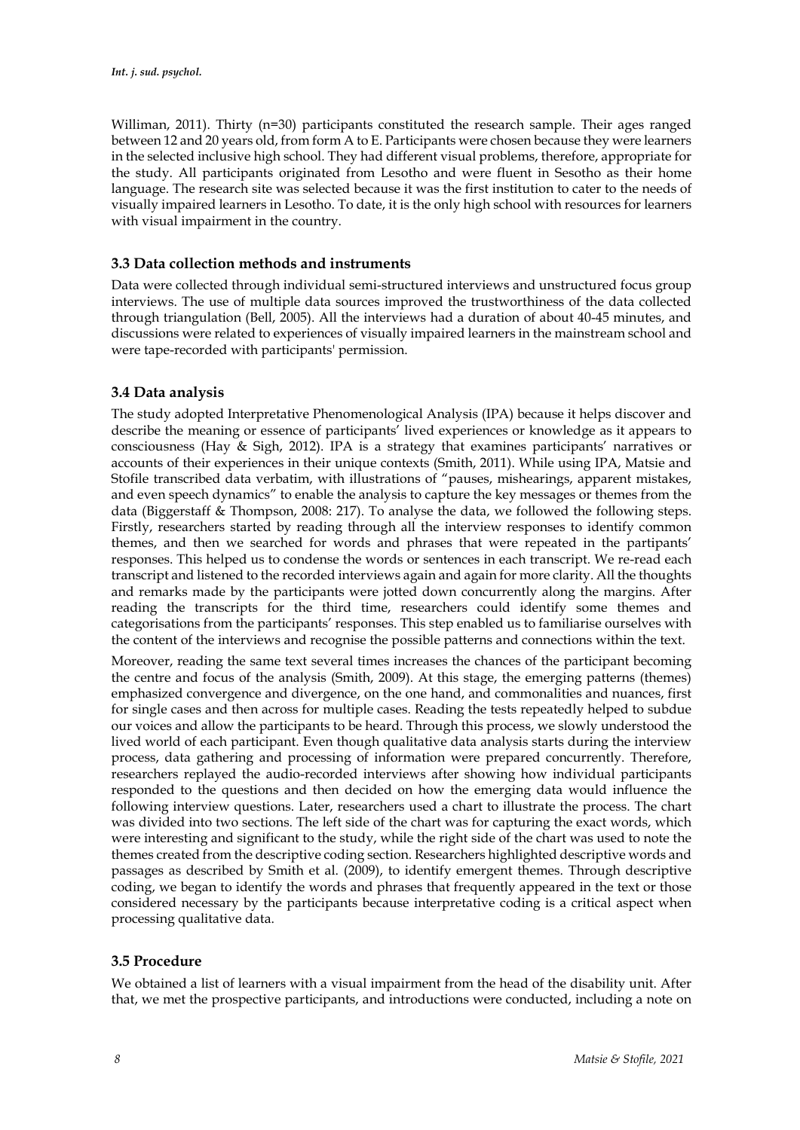Williman, 2011). Thirty (n=30) participants constituted the research sample. Their ages ranged between 12 and 20 years old, from form A to E. Participants were chosen because they were learners in the selected inclusive high school. They had different visual problems, therefore, appropriate for the study. All participants originated from Lesotho and were fluent in Sesotho as their home language. The research site was selected because it was the first institution to cater to the needs of visually impaired learners in Lesotho. To date, it is the only high school with resources for learners with visual impairment in the country.

## **3.3 Data collection methods and instruments**

Data were collected through individual semi-structured interviews and unstructured focus group interviews. The use of multiple data sources improved the trustworthiness of the data collected through triangulation (Bell, 2005). All the interviews had a duration of about 40-45 minutes, and discussions were related to experiences of visually impaired learners in the mainstream school and were tape-recorded with participants' permission.

## **3.4 Data analysis**

The study adopted Interpretative Phenomenological Analysis (IPA) because it helps discover and describe the meaning or essence of participants' lived experiences or knowledge as it appears to consciousness (Hay & Sigh, 2012). IPA is a strategy that examines participants' narratives or accounts of their experiences in their unique contexts (Smith, 2011). While using IPA, Matsie and Stofile transcribed data verbatim, with illustrations of "pauses, mishearings, apparent mistakes, and even speech dynamics" to enable the analysis to capture the key messages or themes from the data (Biggerstaff & Thompson, 2008: 217). To analyse the data, we followed the following steps. Firstly, researchers started by reading through all the interview responses to identify common themes, and then we searched for words and phrases that were repeated in the partipants' responses. This helped us to condense the words or sentences in each transcript. We re-read each transcript and listened to the recorded interviews again and again for more clarity. All the thoughts and remarks made by the participants were jotted down concurrently along the margins. After reading the transcripts for the third time, researchers could identify some themes and categorisations from the participants' responses. This step enabled us to familiarise ourselves with the content of the interviews and recognise the possible patterns and connections within the text.

Moreover, reading the same text several times increases the chances of the participant becoming the centre and focus of the analysis (Smith, 2009). At this stage, the emerging patterns (themes) emphasized convergence and divergence, on the one hand, and commonalities and nuances, first for single cases and then across for multiple cases. Reading the tests repeatedly helped to subdue our voices and allow the participants to be heard. Through this process, we slowly understood the lived world of each participant. Even though qualitative data analysis starts during the interview process, data gathering and processing of information were prepared concurrently. Therefore, researchers replayed the audio-recorded interviews after showing how individual participants responded to the questions and then decided on how the emerging data would influence the following interview questions. Later, researchers used a chart to illustrate the process. The chart was divided into two sections. The left side of the chart was for capturing the exact words, which were interesting and significant to the study, while the right side of the chart was used to note the themes created from the descriptive coding section. Researchers highlighted descriptive words and passages as described by Smith et al. (2009), to identify emergent themes. Through descriptive coding, we began to identify the words and phrases that frequently appeared in the text or those considered necessary by the participants because interpretative coding is a critical aspect when processing qualitative data.

## **3.5 Procedure**

We obtained a list of learners with a visual impairment from the head of the disability unit. After that, we met the prospective participants, and introductions were conducted, including a note on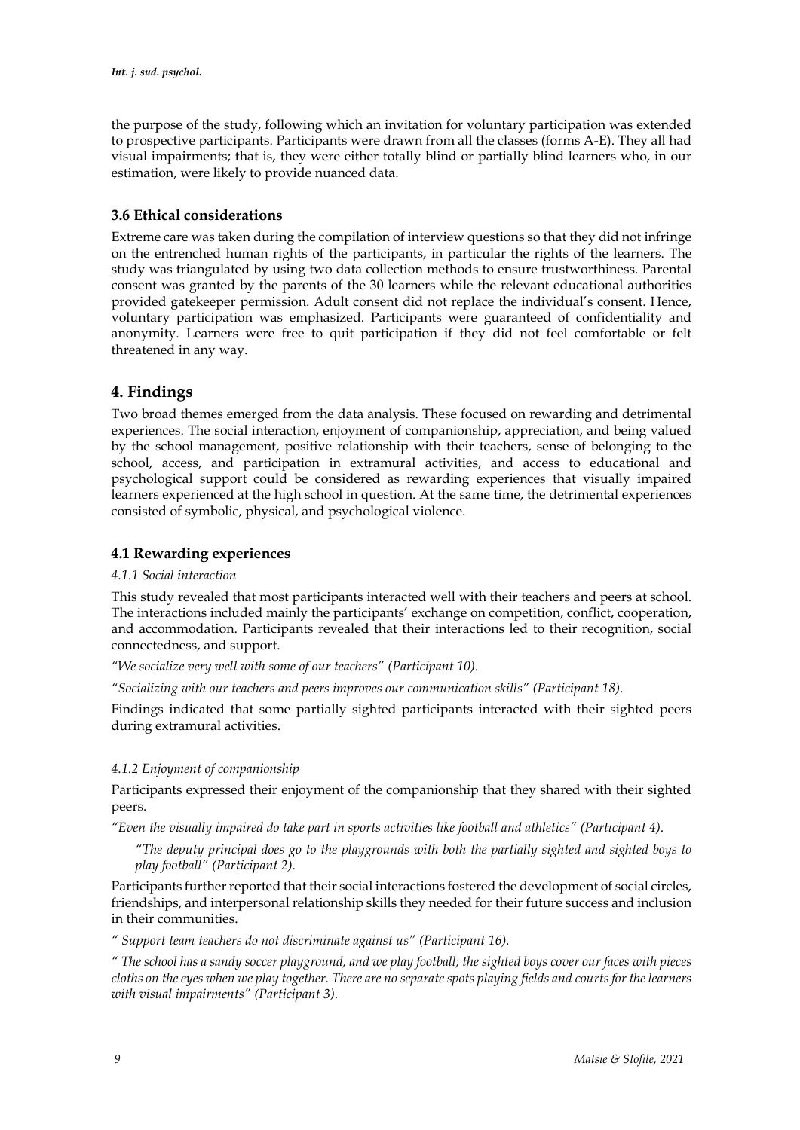the purpose of the study, following which an invitation for voluntary participation was extended to prospective participants. Participants were drawn from all the classes (forms A-E). They all had visual impairments; that is, they were either totally blind or partially blind learners who, in our estimation, were likely to provide nuanced data.

## **3.6 Ethical considerations**

Extreme care was taken during the compilation of interview questions so that they did not infringe on the entrenched human rights of the participants, in particular the rights of the learners. The study was triangulated by using two data collection methods to ensure trustworthiness. Parental consent was granted by the parents of the 30 learners while the relevant educational authorities provided gatekeeper permission. Adult consent did not replace the individual's consent. Hence, voluntary participation was emphasized. Participants were guaranteed of confidentiality and anonymity. Learners were free to quit participation if they did not feel comfortable or felt threatened in any way.

## **4. Findings**

Two broad themes emerged from the data analysis. These focused on rewarding and detrimental experiences. The social interaction, enjoyment of companionship, appreciation, and being valued by the school management, positive relationship with their teachers, sense of belonging to the school, access, and participation in extramural activities, and access to educational and psychological support could be considered as rewarding experiences that visually impaired learners experienced at the high school in question. At the same time, the detrimental experiences consisted of symbolic, physical, and psychological violence.

## **4.1 Rewarding experiences**

#### *4.1.1 Social interaction*

This study revealed that most participants interacted well with their teachers and peers at school. The interactions included mainly the participants' exchange on competition, conflict, cooperation, and accommodation. Participants revealed that their interactions led to their recognition, social connectedness, and support.

*"We socialize very well with some of our teachers" (Participant 10).*

*"Socializing with our teachers and peers improves our communication skills" (Participant 18).*

Findings indicated that some partially sighted participants interacted with their sighted peers during extramural activities.

### *4.1.2 Enjoyment of companionship*

Participants expressed their enjoyment of the companionship that they shared with their sighted peers.

*"Even the visually impaired do take part in sports activities like football and athletics" (Participant 4).*

*"The deputy principal does go to the playgrounds with both the partially sighted and sighted boys to play football" (Participant 2).* 

Participants further reported that their social interactions fostered the development of social circles, friendships, and interpersonal relationship skills they needed for their future success and inclusion in their communities.

*" Support team teachers do not discriminate against us" (Participant 16).*

*" The school has a sandy soccer playground, and we play football; the sighted boys cover our faces with pieces cloths on the eyes when we play together. There are no separate spots playing fields and courts for the learners with visual impairments" (Participant 3).*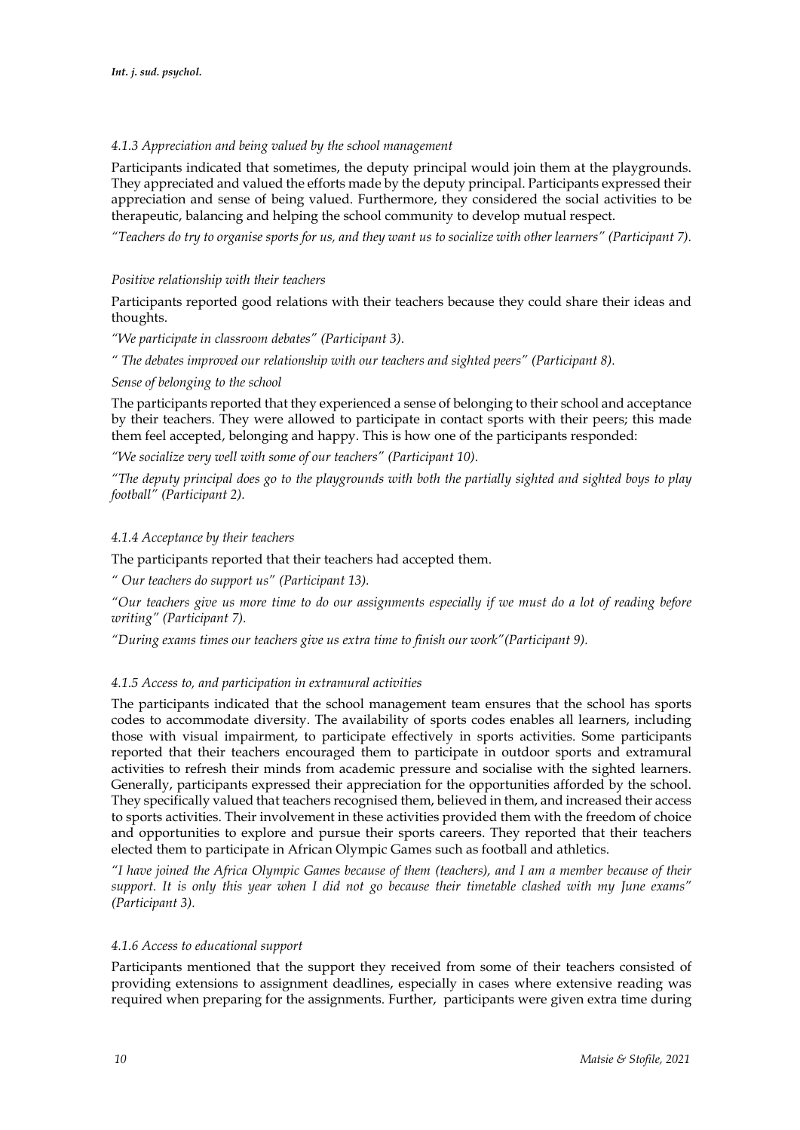## *4.1.3 Appreciation and being valued by the school management*

Participants indicated that sometimes, the deputy principal would join them at the playgrounds. They appreciated and valued the efforts made by the deputy principal. Participants expressed their appreciation and sense of being valued. Furthermore, they considered the social activities to be therapeutic, balancing and helping the school community to develop mutual respect.

*"Teachers do try to organise sports for us, and they want us to socialize with other learners" (Participant 7).*

## *Positive relationship with their teachers*

Participants reported good relations with their teachers because they could share their ideas and thoughts.

*"We participate in classroom debates" (Participant 3).*

*" The debates improved our relationship with our teachers and sighted peers" (Participant 8).*

### *Sense of belonging to the school*

The participants reported that they experienced a sense of belonging to their school and acceptance by their teachers. They were allowed to participate in contact sports with their peers; this made them feel accepted, belonging and happy. This is how one of the participants responded:

*"We socialize very well with some of our teachers" (Participant 10).*

*"The deputy principal does go to the playgrounds with both the partially sighted and sighted boys to play football" (Participant 2).*

## *4.1.4 Acceptance by their teachers*

The participants reported that their teachers had accepted them.

*" Our teachers do support us" (Participant 13).*

*"Our teachers give us more time to do our assignments especially if we must do a lot of reading before writing" (Participant 7).*

*"During exams times our teachers give us extra time to finish our work"(Participant 9).*

## *4.1.5 Access to, and participation in extramural activities*

The participants indicated that the school management team ensures that the school has sports codes to accommodate diversity. The availability of sports codes enables all learners, including those with visual impairment, to participate effectively in sports activities. Some participants reported that their teachers encouraged them to participate in outdoor sports and extramural activities to refresh their minds from academic pressure and socialise with the sighted learners. Generally, participants expressed their appreciation for the opportunities afforded by the school. They specifically valued that teachers recognised them, believed in them, and increased their access to sports activities. Their involvement in these activities provided them with the freedom of choice and opportunities to explore and pursue their sports careers. They reported that their teachers elected them to participate in African Olympic Games such as football and athletics.

*"I have joined the Africa Olympic Games because of them (teachers), and I am a member because of their support. It is only this year when I did not go because their timetable clashed with my June exams" (Participant 3).* 

### *4.1.6 Access to educational support*

Participants mentioned that the support they received from some of their teachers consisted of providing extensions to assignment deadlines, especially in cases where extensive reading was required when preparing for the assignments. Further, participants were given extra time during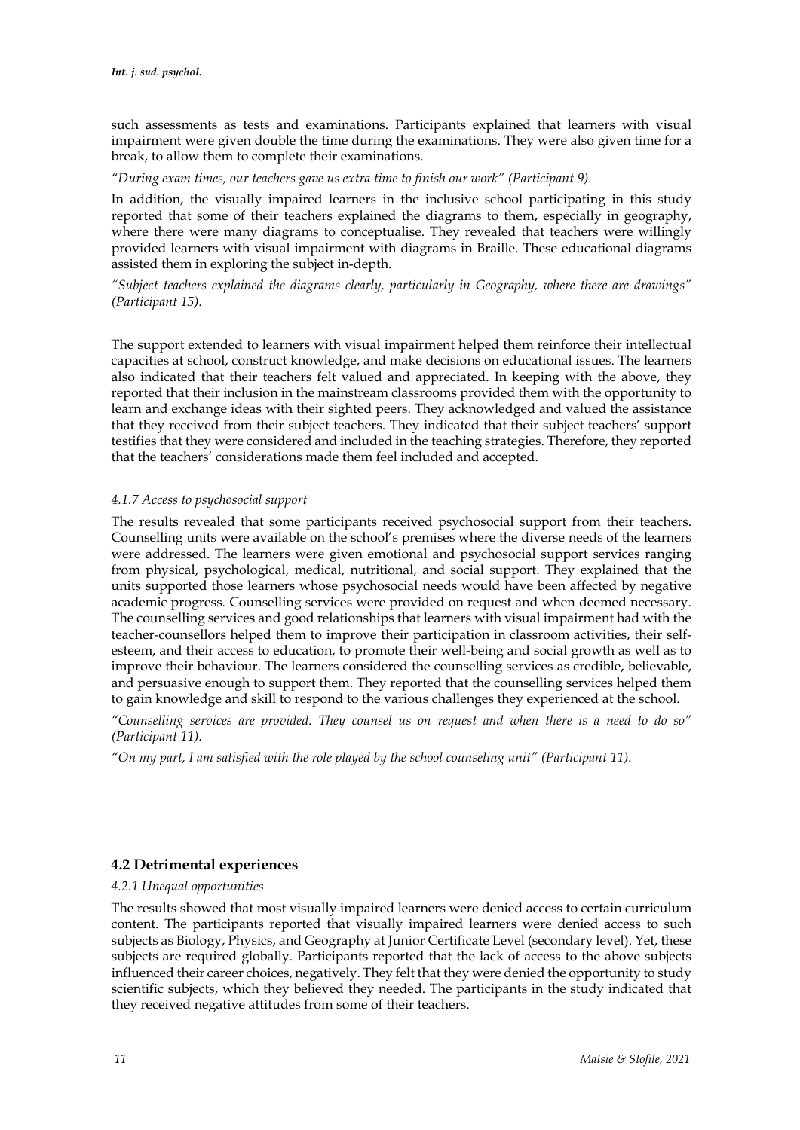such assessments as tests and examinations. Participants explained that learners with visual impairment were given double the time during the examinations. They were also given time for a break, to allow them to complete their examinations.

*"During exam times, our teachers gave us extra time to finish our work" (Participant 9).*

In addition, the visually impaired learners in the inclusive school participating in this study reported that some of their teachers explained the diagrams to them, especially in geography, where there were many diagrams to conceptualise. They revealed that teachers were willingly provided learners with visual impairment with diagrams in Braille. These educational diagrams assisted them in exploring the subject in-depth.

*"Subject teachers explained the diagrams clearly, particularly in Geography, where there are drawings" (Participant 15).*

The support extended to learners with visual impairment helped them reinforce their intellectual capacities at school, construct knowledge, and make decisions on educational issues. The learners also indicated that their teachers felt valued and appreciated. In keeping with the above, they reported that their inclusion in the mainstream classrooms provided them with the opportunity to learn and exchange ideas with their sighted peers. They acknowledged and valued the assistance that they received from their subject teachers. They indicated that their subject teachers' support testifies that they were considered and included in the teaching strategies. Therefore, they reported that the teachers' considerations made them feel included and accepted.

### *4.1.7 Access to psychosocial support*

The results revealed that some participants received psychosocial support from their teachers. Counselling units were available on the school's premises where the diverse needs of the learners were addressed. The learners were given emotional and psychosocial support services ranging from physical, psychological, medical, nutritional, and social support. They explained that the units supported those learners whose psychosocial needs would have been affected by negative academic progress. Counselling services were provided on request and when deemed necessary. The counselling services and good relationships that learners with visual impairment had with the teacher-counsellors helped them to improve their participation in classroom activities, their selfesteem, and their access to education, to promote their well-being and social growth as well as to improve their behaviour. The learners considered the counselling services as credible, believable, and persuasive enough to support them. They reported that the counselling services helped them to gain knowledge and skill to respond to the various challenges they experienced at the school.

*"Counselling services are provided. They counsel us on request and when there is a need to do so" (Participant 11).*

*"On my part, I am satisfied with the role played by the school counseling unit" (Participant 11).*

## **4.2 Detrimental experiences**

### *4.2.1 Unequal opportunities*

The results showed that most visually impaired learners were denied access to certain curriculum content. The participants reported that visually impaired learners were denied access to such subjects as Biology, Physics, and Geography at Junior Certificate Level (secondary level). Yet, these subjects are required globally. Participants reported that the lack of access to the above subjects influenced their career choices, negatively. They felt that they were denied the opportunity to study scientific subjects, which they believed they needed. The participants in the study indicated that they received negative attitudes from some of their teachers.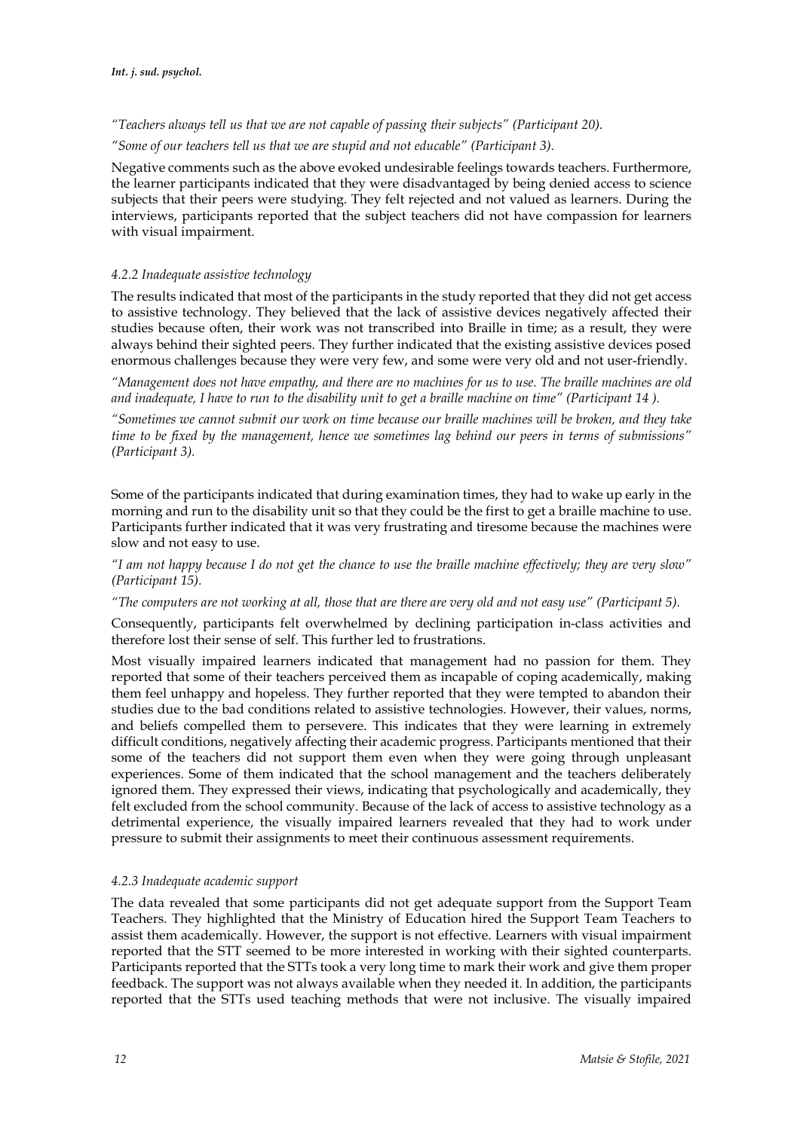*"Teachers always tell us that we are not capable of passing their subjects" (Participant 20). "Some of our teachers tell us that we are stupid and not educable" (Participant 3).*

Negative comments such as the above evoked undesirable feelings towards teachers. Furthermore, the learner participants indicated that they were disadvantaged by being denied access to science subjects that their peers were studying. They felt rejected and not valued as learners. During the interviews, participants reported that the subject teachers did not have compassion for learners with visual impairment.

### *4.2.2 Inadequate assistive technology*

The results indicated that most of the participants in the study reported that they did not get access to assistive technology. They believed that the lack of assistive devices negatively affected their studies because often, their work was not transcribed into Braille in time; as a result, they were always behind their sighted peers. They further indicated that the existing assistive devices posed enormous challenges because they were very few, and some were very old and not user-friendly.

*"Management does not have empathy, and there are no machines for us to use. The braille machines are old and inadequate, I have to run to the disability unit to get a braille machine on time" (Participant 14 ).*

*"Sometimes we cannot submit our work on time because our braille machines will be broken, and they take time to be fixed by the management, hence we sometimes lag behind our peers in terms of submissions" (Participant 3).*

Some of the participants indicated that during examination times, they had to wake up early in the morning and run to the disability unit so that they could be the first to get a braille machine to use. Participants further indicated that it was very frustrating and tiresome because the machines were slow and not easy to use.

*"I am not happy because I do not get the chance to use the braille machine effectively; they are very slow" (Participant 15).*

*"The computers are not working at all, those that are there are very old and not easy use" (Participant 5).*

Consequently, participants felt overwhelmed by declining participation in-class activities and therefore lost their sense of self. This further led to frustrations.

Most visually impaired learners indicated that management had no passion for them. They reported that some of their teachers perceived them as incapable of coping academically, making them feel unhappy and hopeless. They further reported that they were tempted to abandon their studies due to the bad conditions related to assistive technologies. However, their values, norms, and beliefs compelled them to persevere. This indicates that they were learning in extremely difficult conditions, negatively affecting their academic progress. Participants mentioned that their some of the teachers did not support them even when they were going through unpleasant experiences. Some of them indicated that the school management and the teachers deliberately ignored them. They expressed their views, indicating that psychologically and academically, they felt excluded from the school community. Because of the lack of access to assistive technology as a detrimental experience, the visually impaired learners revealed that they had to work under pressure to submit their assignments to meet their continuous assessment requirements.

### *4.2.3 Inadequate academic support*

The data revealed that some participants did not get adequate support from the Support Team Teachers. They highlighted that the Ministry of Education hired the Support Team Teachers to assist them academically. However, the support is not effective. Learners with visual impairment reported that the STT seemed to be more interested in working with their sighted counterparts. Participants reported that the STTs took a very long time to mark their work and give them proper feedback. The support was not always available when they needed it. In addition, the participants reported that the STTs used teaching methods that were not inclusive. The visually impaired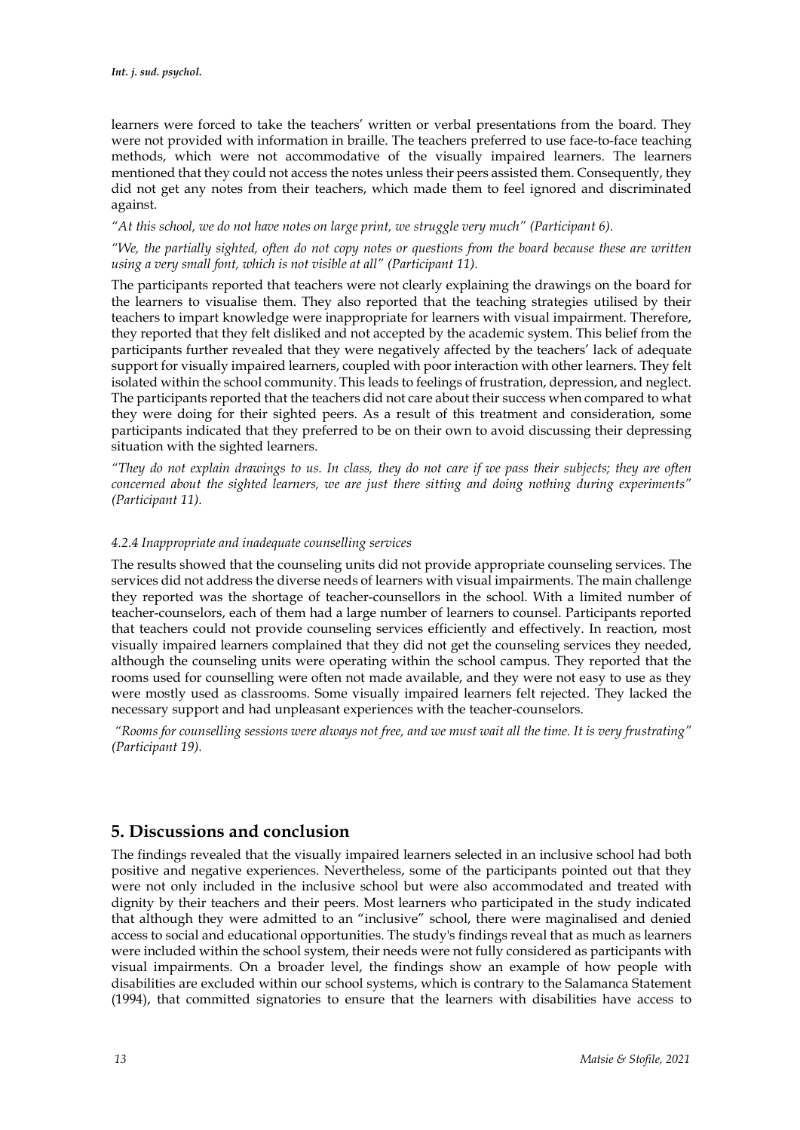learners were forced to take the teachers' written or verbal presentations from the board. They were not provided with information in braille. The teachers preferred to use face-to-face teaching methods, which were not accommodative of the visually impaired learners. The learners mentioned that they could not access the notes unless their peers assisted them. Consequently, they did not get any notes from their teachers, which made them to feel ignored and discriminated against.

*"At this school, we do not have notes on large print, we struggle very much" (Participant 6).*

*"We, the partially sighted, often do not copy notes or questions from the board because these are written using a very small font, which is not visible at all" (Participant 11).*

The participants reported that teachers were not clearly explaining the drawings on the board for the learners to visualise them. They also reported that the teaching strategies utilised by their teachers to impart knowledge were inappropriate for learners with visual impairment. Therefore, they reported that they felt disliked and not accepted by the academic system. This belief from the participants further revealed that they were negatively affected by the teachers' lack of adequate support for visually impaired learners, coupled with poor interaction with other learners. They felt isolated within the school community. This leads to feelings of frustration, depression, and neglect. The participants reported that the teachers did not care about their success when compared to what they were doing for their sighted peers. As a result of this treatment and consideration, some participants indicated that they preferred to be on their own to avoid discussing their depressing situation with the sighted learners.

*"They do not explain drawings to us. In class, they do not care if we pass their subjects; they are often concerned about the sighted learners, we are just there sitting and doing nothing during experiments" (Participant 11).*

#### *4.2.4 Inappropriate and inadequate counselling services*

The results showed that the counseling units did not provide appropriate counseling services. The services did not address the diverse needs of learners with visual impairments. The main challenge they reported was the shortage of teacher-counsellors in the school. With a limited number of teacher-counselors, each of them had a large number of learners to counsel. Participants reported that teachers could not provide counseling services efficiently and effectively. In reaction, most visually impaired learners complained that they did not get the counseling services they needed, although the counseling units were operating within the school campus. They reported that the rooms used for counselling were often not made available, and they were not easy to use as they were mostly used as classrooms. Some visually impaired learners felt rejected. They lacked the necessary support and had unpleasant experiences with the teacher-counselors.

*"Rooms for counselling sessions were always not free, and we must wait all the time. It is very frustrating" (Participant 19).*

## **5. Discussions and conclusion**

The findings revealed that the visually impaired learners selected in an inclusive school had both positive and negative experiences. Nevertheless, some of the participants pointed out that they were not only included in the inclusive school but were also accommodated and treated with dignity by their teachers and their peers. Most learners who participated in the study indicated that although they were admitted to an "inclusive" school, there were maginalised and denied access to social and educational opportunities. The study's findings reveal that as much as learners were included within the school system, their needs were not fully considered as participants with visual impairments. On a broader level, the findings show an example of how people with disabilities are excluded within our school systems, which is contrary to the Salamanca Statement (1994), that committed signatories to ensure that the learners with disabilities have access to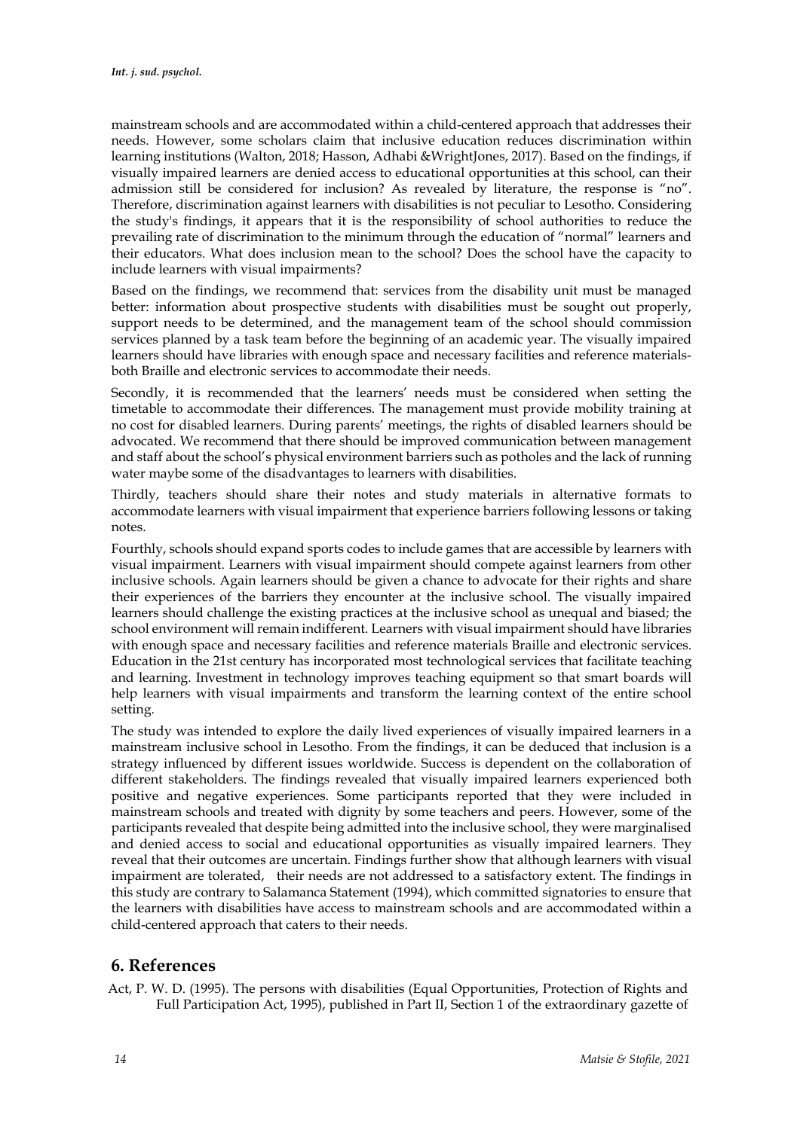mainstream schools and are accommodated within a child-centered approach that addresses their needs. However, some scholars claim that inclusive education reduces discrimination within learning institutions (Walton, 2018; Hasson, Adhabi &WrightJones, 2017). Based on the findings, if visually impaired learners are denied access to educational opportunities at this school, can their admission still be considered for inclusion? As revealed by literature, the response is "no". Therefore, discrimination against learners with disabilities is not peculiar to Lesotho. Considering the study's findings, it appears that it is the responsibility of school authorities to reduce the prevailing rate of discrimination to the minimum through the education of "normal" learners and their educators. What does inclusion mean to the school? Does the school have the capacity to include learners with visual impairments?

Based on the findings, we recommend that: services from the disability unit must be managed better: information about prospective students with disabilities must be sought out properly, support needs to be determined, and the management team of the school should commission services planned by a task team before the beginning of an academic year. The visually impaired learners should have libraries with enough space and necessary facilities and reference materialsboth Braille and electronic services to accommodate their needs.

Secondly, it is recommended that the learners' needs must be considered when setting the timetable to accommodate their differences. The management must provide mobility training at no cost for disabled learners. During parents' meetings, the rights of disabled learners should be advocated. We recommend that there should be improved communication between management and staff about the school's physical environment barriers such as potholes and the lack of running water maybe some of the disadvantages to learners with disabilities.

Thirdly, teachers should share their notes and study materials in alternative formats to accommodate learners with visual impairment that experience barriers following lessons or taking notes.

Fourthly, schools should expand sports codes to include games that are accessible by learners with visual impairment. Learners with visual impairment should compete against learners from other inclusive schools. Again learners should be given a chance to advocate for their rights and share their experiences of the barriers they encounter at the inclusive school. The visually impaired learners should challenge the existing practices at the inclusive school as unequal and biased; the school environment will remain indifferent. Learners with visual impairment should have libraries with enough space and necessary facilities and reference materials Braille and electronic services. Education in the 21st century has incorporated most technological services that facilitate teaching and learning. Investment in technology improves teaching equipment so that smart boards will help learners with visual impairments and transform the learning context of the entire school setting.

The study was intended to explore the daily lived experiences of visually impaired learners in a mainstream inclusive school in Lesotho. From the findings, it can be deduced that inclusion is a strategy influenced by different issues worldwide. Success is dependent on the collaboration of different stakeholders. The findings revealed that visually impaired learners experienced both positive and negative experiences. Some participants reported that they were included in mainstream schools and treated with dignity by some teachers and peers. However, some of the participants revealed that despite being admitted into the inclusive school, they were marginalised and denied access to social and educational opportunities as visually impaired learners. They reveal that their outcomes are uncertain. Findings further show that although learners with visual impairment are tolerated, their needs are not addressed to a satisfactory extent. The findings in this study are contrary to Salamanca Statement (1994), which committed signatories to ensure that the learners with disabilities have access to mainstream schools and are accommodated within a child-centered approach that caters to their needs.

## **6. References**

Act, P. W. D. (1995). The persons with disabilities (Equal Opportunities, Protection of Rights and Full Participation Act, 1995), published in Part II, Section 1 of the extraordinary gazette of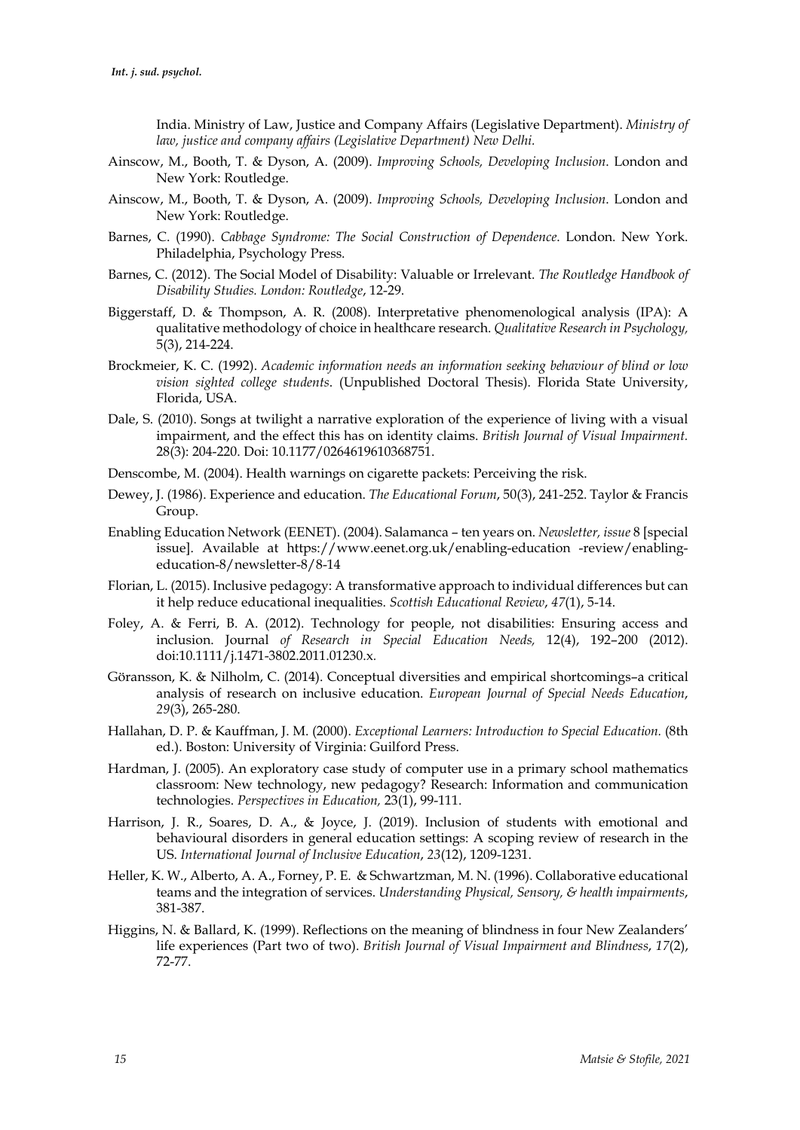India. Ministry of Law, Justice and Company Affairs (Legislative Department). *Ministry of law, justice and company affairs (Legislative Department) New Delhi.*

- Ainscow, M., Booth, T. & Dyson, A. (2009). *Improving Schools, Developing Inclusion*. London and New York: Routledge.
- Ainscow, M., Booth, T. & Dyson, A. (2009). *Improving Schools, Developing Inclusion*. London and New York: Routledge.
- Barnes, C. (1990). *Cabbage Syndrome: The Social Construction of Dependence*. London. New York. Philadelphia, Psychology Press.
- Barnes, C. (2012). The Social Model of Disability: Valuable or Irrelevant. *The Routledge Handbook of Disability Studies. London: Routledge*, 12-29.
- Biggerstaff, D. & Thompson, A. R. (2008). Interpretative phenomenological analysis (IPA): A qualitative methodology of choice in healthcare research. *Qualitative Research in Psychology,*  5(3), 214-224.
- Brockmeier, K. C. (1992). *Academic information needs an information seeking behaviour of blind or low vision sighted college students*. (Unpublished Doctoral Thesis). Florida State University, Florida, USA.
- Dale, S. (2010). Songs at twilight a narrative exploration of the experience of living with a visual impairment, and the effect this has on identity claims. *British Journal of Visual Impairment.*  28(3): 204-220. Doi: 10.1177/0264619610368751.
- Denscombe, M. (2004). Health warnings on cigarette packets: Perceiving the risk.
- Dewey, J. (1986). Experience and education. *The Educational Forum*, 50(3), 241-252. Taylor & Francis Group.
- Enabling Education Network (EENET). (2004). Salamanca ten years on. *Newsletter, issue* 8 [special issue]. Available at https://www.eenet.org.uk/enabling-education -review/enablingeducation-8/newsletter-8/8-14
- Florian, L. (2015). Inclusive pedagogy: A transformative approach to individual differences but can it help reduce educational inequalities. *Scottish Educational Review*, *47*(1), 5-14.
- Foley, A. & Ferri, B. A. (2012). Technology for people, not disabilities: Ensuring access and inclusion. Journal *of Research in Special Education Needs,* 12(4), 192–200 (2012). doi:10.1111/j.1471-3802.2011.01230.x*.*
- Göransson, K. & Nilholm, C. (2014). Conceptual diversities and empirical shortcomings–a critical analysis of research on inclusive education. *European Journal of Special Needs Education*, *29*(3), 265-280.
- Hallahan, D. P. & Kauffman, J. M. (2000). *Exceptional Learners: Introduction to Special Education.* (8th ed.). Boston: University of Virginia: Guilford Press.
- Hardman, J. (2005). An exploratory case study of computer use in a primary school mathematics classroom: New technology, new pedagogy? Research: Information and communication technologies. *Perspectives in Education,* 23(1), 99-111.
- Harrison, J. R., Soares, D. A., & Joyce, J. (2019). Inclusion of students with emotional and behavioural disorders in general education settings: A scoping review of research in the US. *International Journal of Inclusive Education*, *23*(12), 1209-1231.
- Heller, K. W., Alberto, A. A., Forney, P. E. & Schwartzman, M. N. (1996). Collaborative educational teams and the integration of services. *Understanding Physical, Sensory, & health impairments*, 381-387.
- Higgins, N. & Ballard, K. (1999). Reflections on the meaning of blindness in four New Zealanders' life experiences (Part two of two). *British Journal of Visual Impairment and Blindness*, *17*(2), 72-77.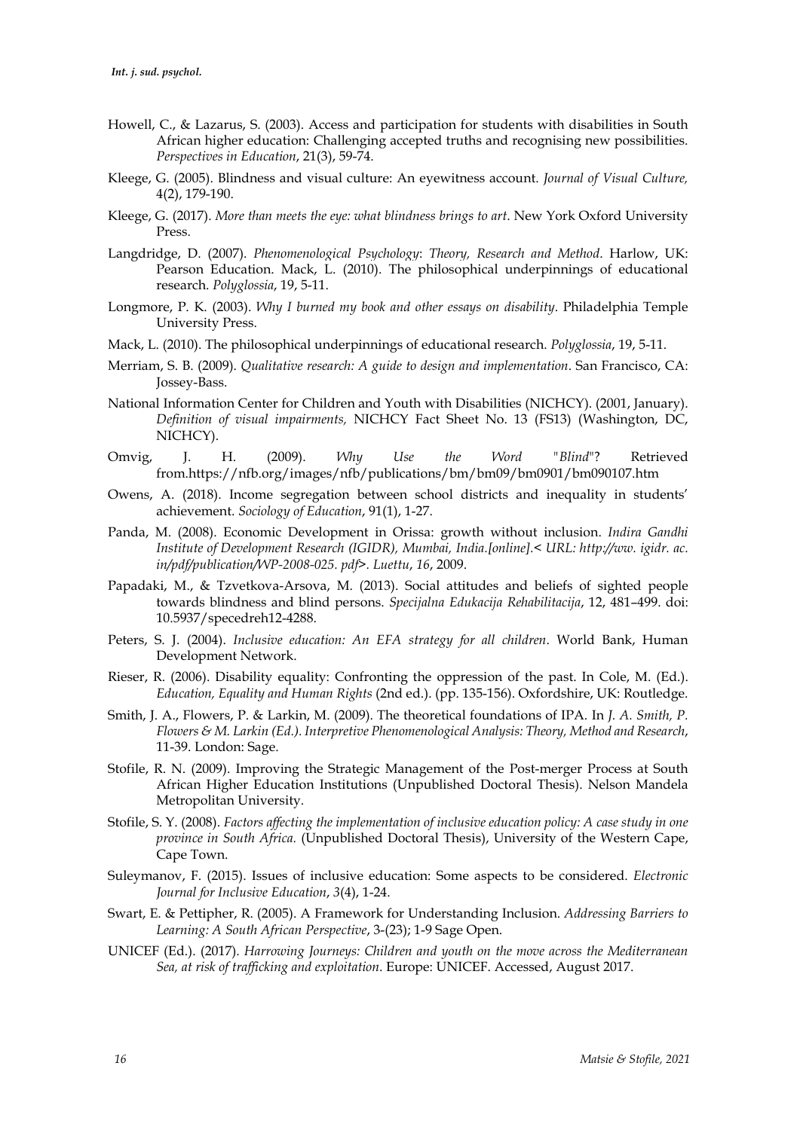- Howell, C., & Lazarus, S. (2003). Access and participation for students with disabilities in South African higher education: Challenging accepted truths and recognising new possibilities. *Perspectives in Education*, 21(3), 59-74.
- Kleege, G. (2005). Blindness and visual culture: An eyewitness account. *Journal of Visual Culture,* 4(2), 179-190.
- Kleege, G. (2017). *More than meets the eye: what blindness brings to art*. New York Oxford University Press.
- Langdridge, D. (2007). *Phenomenological Psychology*: *Theory, Research and Method*. Harlow, UK: Pearson Education. Mack, L. (2010). The philosophical underpinnings of educational research. *Polyglossia*, 19, 5-11.
- Longmore, P. K. (2003). *Why I burned my book and other essays on disability*. Philadelphia Temple University Press.
- Mack, L. (2010). The philosophical underpinnings of educational research. *Polyglossia*, 19, 5-11.
- Merriam, S. B. (2009). *Qualitative research: A guide to design and implementation*. San Francisco, CA: Jossey-Bass.
- National Information Center for Children and Youth with Disabilities (NICHCY). (2001, January). *Definition of visual impairments,* NICHCY Fact Sheet No. 13 (FS13) (Washington, DC, NICHCY).
- Omvig, J. H. (2009). *Why Use the Word "Blind*"? Retrieved from.https://nfb.org/images/nfb/publications/bm/bm09/bm0901/bm090107.htm
- Owens, A. (2018). Income segregation between school districts and inequality in students' achievement. *Sociology of Education*, 91(1), 1-27.
- Panda, M. (2008). Economic Development in Orissa: growth without inclusion. *Indira Gandhi Institute of Development Research (IGIDR), Mumbai, India.[online].< URL: http://ww. igidr. ac. in/pdf/publication/WP-2008-025. pdf>. Luettu*, *16*, 2009.
- Papadaki, M., & Tzvetkova-Arsova, M. (2013). Social attitudes and beliefs of sighted people towards blindness and blind persons. *Specijalna Edukacija Rehabilitacija*, 12, 481–499. doi: 10.5937/specedreh12-4288.
- Peters, S. J. (2004). *Inclusive education: An EFA strategy for all children*. World Bank, Human Development Network.
- Rieser, R. (2006). Disability equality: Confronting the oppression of the past. In Cole, M. (Ed.). *Education, Equality and Human Rights* (2nd ed.). (pp. 135-156). Oxfordshire, UK: Routledge.
- Smith, J. A., Flowers, P. & Larkin, M. (2009). The theoretical foundations of IPA. In *J. A. Smith, P. Flowers & M. Larkin (Ed.). Interpretive Phenomenological Analysis: Theory, Method and Research*, 11-39. London: Sage.
- Stofile, R. N. (2009). Improving the Strategic Management of the Post-merger Process at South African Higher Education Institutions (Unpublished Doctoral Thesis). Nelson Mandela Metropolitan University.
- Stofile, S. Y. (2008). *Factors affecting the implementation of inclusive education policy: A case study in one province in South Africa.* (Unpublished Doctoral Thesis), University of the Western Cape, Cape Town.
- Suleymanov, F. (2015). Issues of inclusive education: Some aspects to be considered. *Electronic Journal for Inclusive Education*, *3*(4), 1-24.
- Swart, E. & Pettipher, R. (2005). A Framework for Understanding Inclusion. *Addressing Barriers to Learning: A South African Perspective*, 3-(23); 1-9 Sage Open.
- UNICEF (Ed.). (2017). *Harrowing Journeys: Children and youth on the move across the Mediterranean Sea, at risk of trafficking and exploitation*. Europe: UNICEF. Accessed, August 2017.